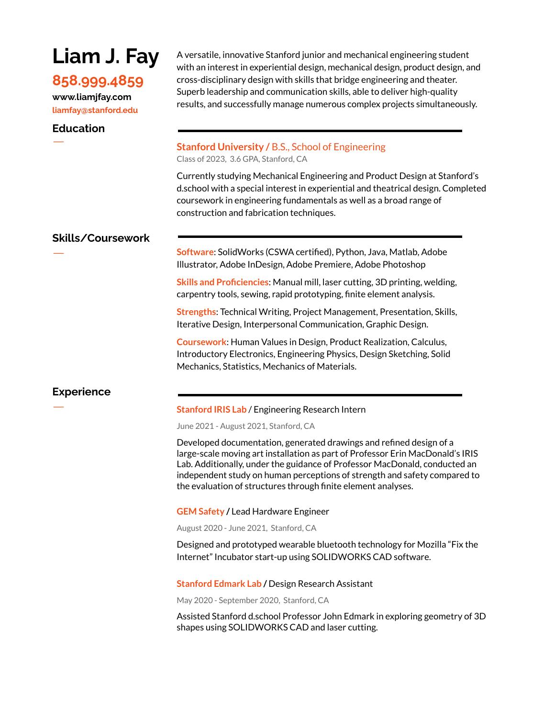# **Liam J. Fay**

## **858.999.4859**

**www.liamjfay.com liamfay@stanford.edu**

**Education**

A versatile, innovative Stanford junior and mechanical engineering student with an interest in experiential design, mechanical design, product design, and cross-disciplinary design with skills that bridge engineering and theater. Superb leadership and communication skills, able to deliver high-quality results, and successfully manage numerous complex projects simultaneously.

## ㅡ **Stanford University /** B.S., School of Engineering Class of 2023, 3.6 GPA, Stanford, CA

Currently studying Mechanical Engineering and Product Design at Stanford's d.school with a special interest in experiential and theatrical design. Completed coursework in engineering fundamentals as well as a broad range of construction and fabrication techniques.

## **Skills/Coursework**

ㅡ **Software**: SolidWorks (CSWA certified), Python, Java, Matlab, Adobe Illustrator, Adobe InDesign, Adobe Premiere, Adobe Photoshop

**Skills and Proficiencies**: Manual mill, laser cutting, 3D printing, welding, carpentry tools, sewing, rapid prototyping, finite element analysis.

**Strengths**: Technical Writing, Project Management, Presentation, Skills, Iterative Design, Interpersonal Communication, Graphic Design.

**Coursework**: Human Values in Design, Product Realization, Calculus, Introductory Electronics, Engineering Physics, Design Sketching, Solid Mechanics, Statistics, Mechanics of Materials.

## **Experience**

## ㅡ **Stanford IRIS Lab** / Engineering Research Intern

June 2021 - August 2021, Stanford, CA

Developed documentation, generated drawings and refined design of a large-scale moving art installation as part of Professor Erin MacDonald's IRIS Lab. Additionally, under the guidance of Professor MacDonald, conducted an independent study on human perceptions of strength and safety compared to the evaluation of structures through finite element analyses.

**GEM Safety /** Lead Hardware Engineer

August 2020 - June 2021, Stanford, CA

Designed and prototyped wearable bluetooth technology for Mozilla "Fix the Internet" Incubator start-up using SOLIDWORKS CAD software.

**Stanford Edmark Lab /** Design Research Assistant

May 2020 - September 2020, Stanford, CA

Assisted Stanford d.school Professor John Edmark in exploring geometry of 3D shapes using SOLIDWORKS CAD and laser cutting.